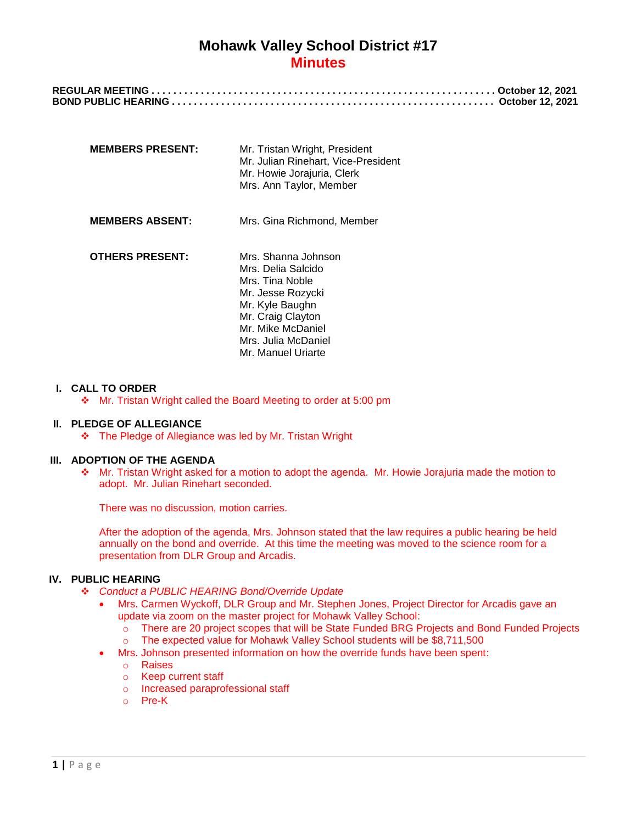| <b>MEMBERS PRESENT:</b> | Mr. Tristan Wright, President<br>Mr. Julian Rinehart, Vice-President<br>Mr. Howie Jorajuria, Clerk<br>Mrs. Ann Taylor, Member                                                               |
|-------------------------|---------------------------------------------------------------------------------------------------------------------------------------------------------------------------------------------|
| <b>MEMBERS ABSENT:</b>  | Mrs. Gina Richmond, Member                                                                                                                                                                  |
| <b>OTHERS PRESENT:</b>  | Mrs. Shanna Johnson<br>Mrs. Delia Salcido<br>Mrs. Tina Noble<br>Mr. Jesse Rozycki<br>Mr. Kyle Baughn<br>Mr. Craig Clayton<br>Mr. Mike McDaniel<br>Mrs. Julia McDaniel<br>Mr. Manuel Uriarte |

#### **I. CALL TO ORDER**

Mr. Tristan Wright called the Board Meeting to order at 5:00 pm

### **II. PLEDGE OF ALLEGIANCE**

The Pledge of Allegiance was led by Mr. Tristan Wright

#### **III. ADOPTION OF THE AGENDA**

 Mr. Tristan Wright asked for a motion to adopt the agenda. Mr. Howie Jorajuria made the motion to adopt. Mr. Julian Rinehart seconded.

There was no discussion, motion carries.

After the adoption of the agenda, Mrs. Johnson stated that the law requires a public hearing be held annually on the bond and override. At this time the meeting was moved to the science room for a presentation from DLR Group and Arcadis.

#### **IV. PUBLIC HEARING**

- *Conduct a PUBLIC HEARING Bond/Override Update*
	- Mrs. Carmen Wyckoff, DLR Group and Mr. Stephen Jones, Project Director for Arcadis gave an update via zoom on the master project for Mohawk Valley School:
		- o There are 20 project scopes that will be State Funded BRG Projects and Bond Funded Projects
		- o The expected value for Mohawk Valley School students will be \$8,711,500
	- Mrs. Johnson presented information on how the override funds have been spent:
		- o Raises
		- o Keep current staff
		- o Increased paraprofessional staff
		- o Pre-K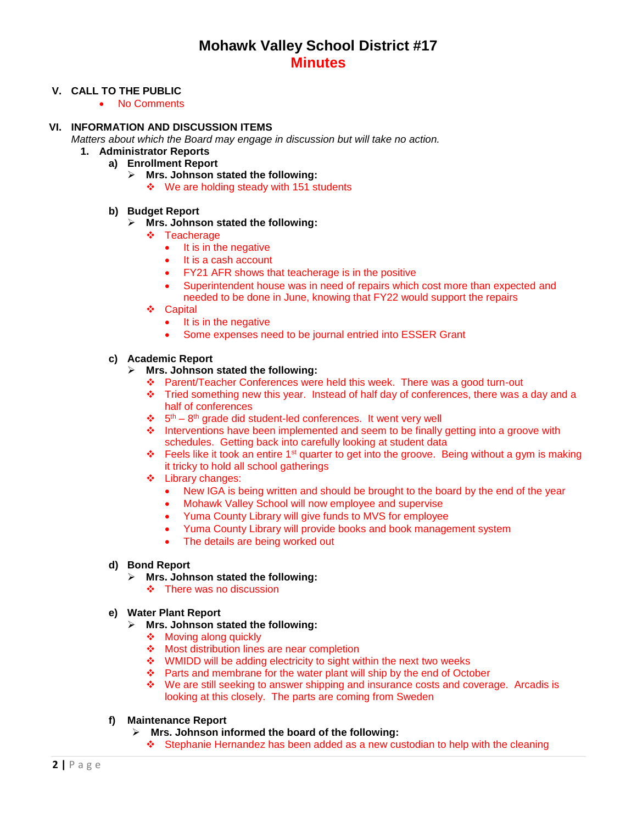## **V. CALL TO THE PUBLIC**

• No Comments

## **VI. INFORMATION AND DISCUSSION ITEMS**

*Matters about which the Board may engage in discussion but will take no action.*

- **1. Administrator Reports**
	- **a) Enrollment Report**
		- **Mrs. Johnson stated the following:**
			- ❖ We are holding steady with 151 students

## **b) Budget Report**

- **Mrs. Johnson stated the following:**
	- **❖** Teacherage
		- It is in the negative
		- It is a cash account
		- FY21 AFR shows that teacherage is in the positive
		- Superintendent house was in need of repairs which cost more than expected and needed to be done in June, knowing that FY22 would support the repairs
	- Capital
		- It is in the negative
		- Some expenses need to be journal entried into ESSER Grant

## **c) Academic Report**

- **Mrs. Johnson stated the following:**
	- Parent/Teacher Conferences were held this week. There was a good turn-out
	- $\cdot \cdot$  Tried something new this year. Instead of half day of conferences, there was a day and a half of conferences
	- $\cdot$  5<sup>th</sup> 8<sup>th</sup> grade did student-led conferences. It went very well
	- Interventions have been implemented and seem to be finally getting into a groove with schedules. Getting back into carefully looking at student data
	- Feels like it took an entire 1st quarter to get into the groove. Being without a gym is making it tricky to hold all school gatherings
	- $\div$  Library changes:
		- New IGA is being written and should be brought to the board by the end of the year
		- Mohawk Valley School will now employee and supervise
		- Yuma County Library will give funds to MVS for employee
		- Yuma County Library will provide books and book management system
		- The details are being worked out

### **d) Bond Report**

- **Mrs. Johnson stated the following:**
	- $\div$  There was no discussion

### **e) Water Plant Report**

- **Mrs. Johnson stated the following:**
	- ❖ Moving along quickly
	- ◆ Most distribution lines are near completion
	- ❖ WMIDD will be adding electricity to sight within the next two weeks
	- Parts and membrane for the water plant will ship by the end of October
	- We are still seeking to answer shipping and insurance costs and coverage. Arcadis is looking at this closely. The parts are coming from Sweden

# **f) Maintenance Report**

- **Mrs. Johnson informed the board of the following:**
	- $\div$  Stephanie Hernandez has been added as a new custodian to help with the cleaning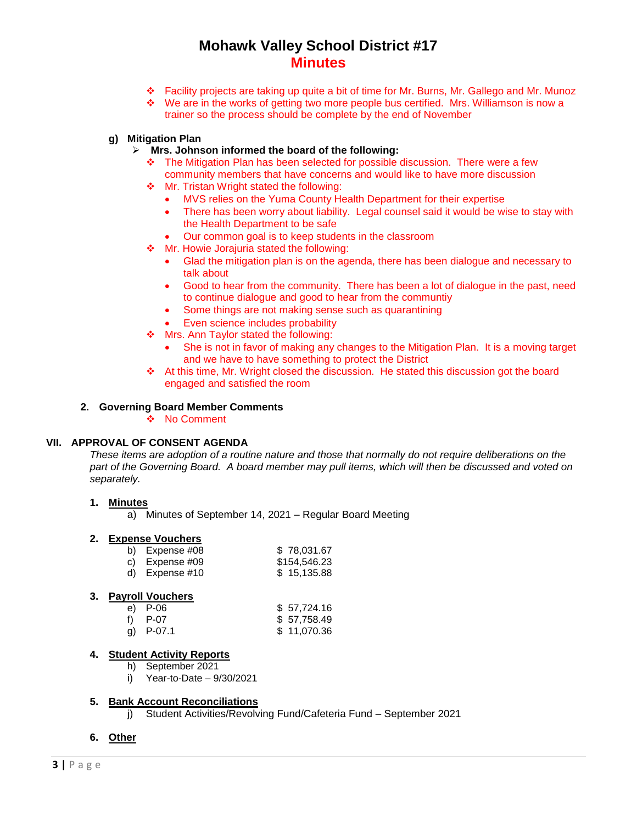- Facility projects are taking up quite a bit of time for Mr. Burns, Mr. Gallego and Mr. Munoz
- We are in the works of getting two more people bus certified. Mrs. Williamson is now a trainer so the process should be complete by the end of November
- **g) Mitigation Plan**
	- **Mrs. Johnson informed the board of the following:**
		- The Mitigation Plan has been selected for possible discussion. There were a few community members that have concerns and would like to have more discussion
		- ❖ Mr. Tristan Wright stated the following:
			- MVS relies on the Yuma County Health Department for their expertise
			- There has been worry about liability. Legal counsel said it would be wise to stay with the Health Department to be safe
			- Our common goal is to keep students in the classroom
		- ◆ Mr. Howie Jorajuria stated the following:
			- Glad the mitigation plan is on the agenda, there has been dialogue and necessary to talk about
			- Good to hear from the community. There has been a lot of dialogue in the past, need to continue dialogue and good to hear from the communtiy
			- Some things are not making sense such as quarantining
			- Even science includes probability
		- Mrs. Ann Taylor stated the following:
			- She is not in favor of making any changes to the Mitigation Plan. It is a moving target and we have to have something to protect the District
		- At this time, Mr. Wright closed the discussion. He stated this discussion got the board engaged and satisfied the room

### **2. Governing Board Member Comments**

❖ No Comment

#### **VII. APPROVAL OF CONSENT AGENDA**

*These items are adoption of a routine nature and those that normally do not require deliberations on the part of the Governing Board. A board member may pull items, which will then be discussed and voted on separately.*

## **1. Minutes**

a) Minutes of September 14, 2021 – Regular Board Meeting

### **2. Expense Vouchers**

| b) Expense $\#08$ | \$78,031.67  |
|-------------------|--------------|
| c) Expense $#09$  | \$154,546.23 |
| d) Expense $#10$  | \$15,135.88  |

#### **3. Payroll Vouchers**

| e) P-06     | \$57,724.16 |
|-------------|-------------|
| t) P-07     | \$57,758.49 |
| g) $P-07.1$ | \$11,070.36 |

# **4. Student Activity Reports**

- h) September 2021
- i) Year-to-Date 9/30/2021

#### **5. Bank Account Reconciliations**

j) Student Activities/Revolving Fund/Cafeteria Fund – September 2021

#### **6. Other**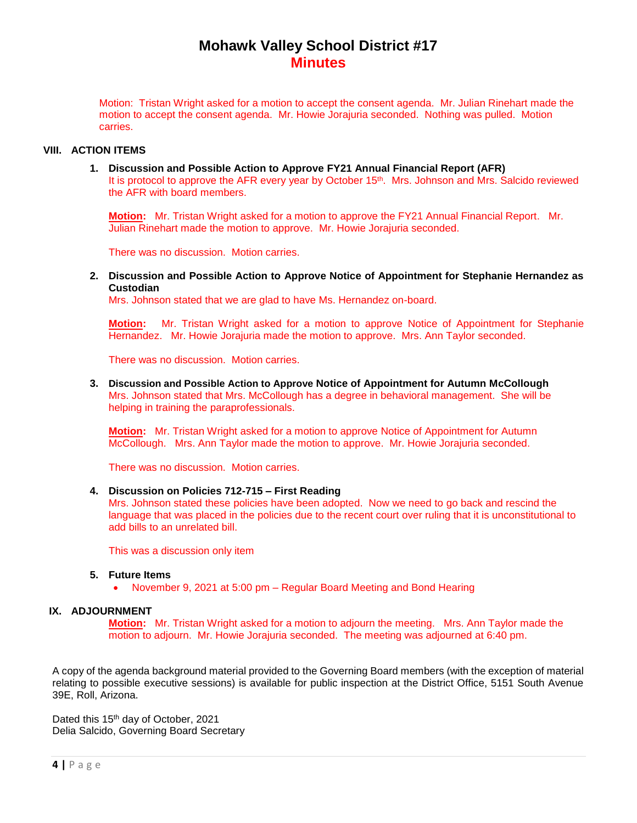Motion: Tristan Wright asked for a motion to accept the consent agenda. Mr. Julian Rinehart made the motion to accept the consent agenda. Mr. Howie Jorajuria seconded. Nothing was pulled. Motion carries.

# **VIII. ACTION ITEMS**

**1. Discussion and Possible Action to Approve FY21 Annual Financial Report (AFR)** It is protocol to approve the AFR every year by October 15<sup>th</sup>. Mrs. Johnson and Mrs. Salcido reviewed the AFR with board members.

**Motion:** Mr. Tristan Wright asked for a motion to approve the FY21 Annual Financial Report. Mr. Julian Rinehart made the motion to approve. Mr. Howie Jorajuria seconded.

There was no discussion. Motion carries.

**2. Discussion and Possible Action to Approve Notice of Appointment for Stephanie Hernandez as Custodian**

Mrs. Johnson stated that we are glad to have Ms. Hernandez on-board.

**Motion:** Mr. Tristan Wright asked for a motion to approve Notice of Appointment for Stephanie Hernandez. Mr. Howie Jorajuria made the motion to approve. Mrs. Ann Taylor seconded.

There was no discussion. Motion carries.

**3. Discussion and Possible Action to Approve Notice of Appointment for Autumn McCollough** Mrs. Johnson stated that Mrs. McCollough has a degree in behavioral management. She will be helping in training the paraprofessionals.

**Motion:** Mr. Tristan Wright asked for a motion to approve Notice of Appointment for Autumn McCollough. Mrs. Ann Taylor made the motion to approve. Mr. Howie Jorajuria seconded.

There was no discussion. Motion carries.

#### **4. Discussion on Policies 712-715 – First Reading**

Mrs. Johnson stated these policies have been adopted. Now we need to go back and rescind the language that was placed in the policies due to the recent court over ruling that it is unconstitutional to add bills to an unrelated bill.

This was a discussion only item

#### **5. Future Items**

November 9, 2021 at 5:00 pm – Regular Board Meeting and Bond Hearing

# **IX. ADJOURNMENT**

**Motion:** Mr. Tristan Wright asked for a motion to adjourn the meeting. Mrs. Ann Taylor made the motion to adjourn. Mr. Howie Jorajuria seconded. The meeting was adjourned at 6:40 pm.

A copy of the agenda background material provided to the Governing Board members (with the exception of material relating to possible executive sessions) is available for public inspection at the District Office, 5151 South Avenue 39E, Roll, Arizona.

Dated this 15<sup>th</sup> day of October, 2021 Delia Salcido, Governing Board Secretary